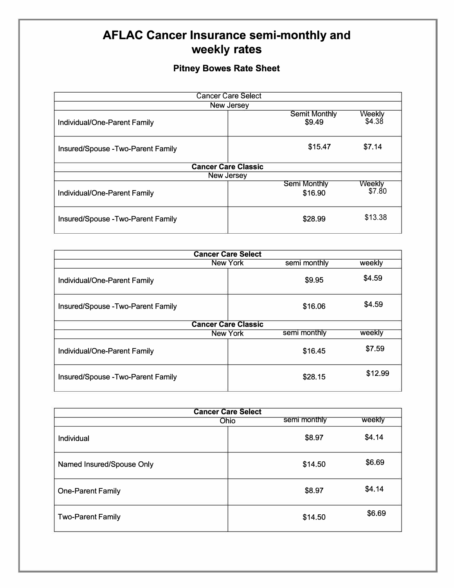## **AFLAC Cancer Insurance semi-monthly and** weekly rates

## **Pitney Bowes Rate Sheet**

| <b>Cancer Care Select</b>          |                                |                  |  |  |
|------------------------------------|--------------------------------|------------------|--|--|
|                                    | New Jersey                     |                  |  |  |
| Individual/One-Parent Family       | <b>Semit Monthly</b><br>\$9.49 | Weekly<br>\$4.38 |  |  |
| Insured/Spouse - Two-Parent Family | \$15.47                        | \$7.14           |  |  |
|                                    | <b>Cancer Care Classic</b>     |                  |  |  |
|                                    | New Jersey                     |                  |  |  |
| Individual/One-Parent Family       | <b>Semi Monthly</b><br>\$16.90 | Weekly<br>\$7.80 |  |  |
| Insured/Spouse - Two-Parent Family | \$28.99                        | \$13.38          |  |  |

| <b>Cancer Care Select</b>          |          |              |         |
|------------------------------------|----------|--------------|---------|
|                                    | New York | semi monthly | weekly  |
| Individual/One-Parent Family       |          | \$9.95       | \$4.59  |
| Insured/Spouse - Two-Parent Family |          | \$16.06      | \$4.59  |
| <b>Cancer Care Classic</b>         |          |              |         |
| semi monthly<br>weekly<br>New York |          |              |         |
| Individual/One-Parent Family       |          | \$16.45      | \$7.59  |
| Insured/Spouse - Two-Parent Family |          | \$28.15      | \$12.99 |

| <b>Cancer Care Select</b> |                             |        |  |
|---------------------------|-----------------------------|--------|--|
|                           | semi monthly<br><b>Ohio</b> | weekly |  |
| Individual                | \$8.97                      | \$4.14 |  |
| Named Insured/Spouse Only | \$14.50                     | \$6.69 |  |
| <b>One-Parent Family</b>  | \$8.97                      | \$4.14 |  |
| <b>Two-Parent Family</b>  | \$14.50                     | \$6.69 |  |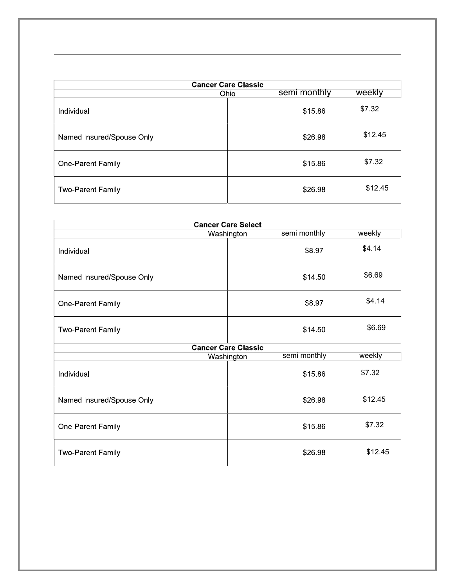| <b>Cancer Care Classic</b> |                      |         |  |
|----------------------------|----------------------|---------|--|
|                            | semi monthly<br>Ohio | weekly  |  |
| Individual                 | \$15.86              | \$7.32  |  |
| Named Insured/Spouse Only  | \$26.98              | \$12.45 |  |
| One-Parent Family          | \$15.86              | \$7.32  |  |
| <b>Two-Parent Family</b>   | \$26.98              | \$12.45 |  |

| <b>Cancer Care Select</b> |                            |         |
|---------------------------|----------------------------|---------|
|                           | semi monthly<br>Washington | weekly  |
| Individual                | \$8.97                     | \$4.14  |
| Named Insured/Spouse Only | \$14.50                    | \$6.69  |
| One-Parent Family         | \$8.97                     | \$4.14  |
| <b>Two-Parent Family</b>  | \$14 50                    | \$6.69  |
|                           | <b>Cancer Care Classic</b> |         |
|                           | semi monthly<br>Washington | weekly  |
| Individual                | \$15.86                    | \$7.32  |
| Named Insured/Spouse Only | \$26.98                    | \$12.45 |
| One-Parent Family         | \$15.86                    | \$7.32  |
| <b>Two-Parent Family</b>  | \$26.98                    | \$12.45 |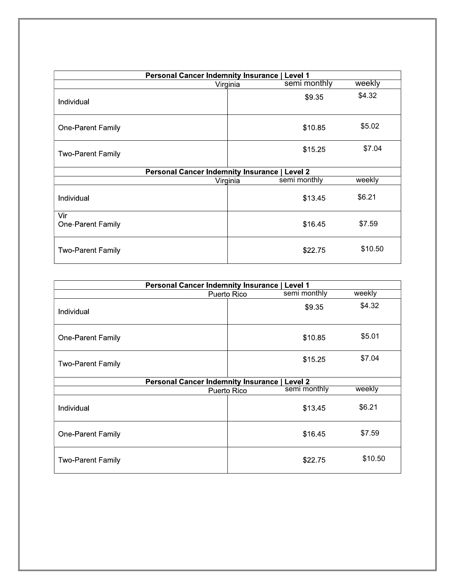| <b>Personal Cancer Indemnity Insurance</b><br>l Level 1 |          |              |         |
|---------------------------------------------------------|----------|--------------|---------|
|                                                         | Virginia | semi monthly | weekly  |
| Individual                                              |          | \$9.35       | \$4.32  |
| One-Parent Family                                       |          | \$10.85      | \$5.02  |
| Two-Parent Family                                       |          | \$15.25      | \$7.04  |
| <b>Personal Cancer Indemnity Insurance   Level 2</b>    |          |              |         |
|                                                         | Virginia | semi monthly | weekly  |
| Individual                                              |          | \$13.45      | \$6.21  |
| Vir<br>One-Parent Family                                |          | \$16.45      | \$7.59  |
| <b>Two-Parent Family</b>                                |          | \$22.75      | \$10.50 |

| <b>Personal Cancer Indemnity Insurance   Level 1</b> |                                                      |         |  |
|------------------------------------------------------|------------------------------------------------------|---------|--|
|                                                      | semi monthly<br>Puerto Rico                          | weekly  |  |
| Individual                                           | \$9.35                                               | \$4.32  |  |
| One-Parent Family                                    | \$10.85                                              | \$5.01  |  |
| <b>Two-Parent Family</b>                             | \$15.25                                              | \$7.04  |  |
|                                                      | <b>Personal Cancer Indemnity Insurance   Level 2</b> |         |  |
|                                                      | semi monthly<br>Puerto Rico                          | weekly  |  |
| Individual                                           | \$13.45                                              | \$6.21  |  |
| One-Parent Family                                    | \$16.45                                              | \$7.59  |  |
| <b>Two-Parent Family</b>                             | \$22.75                                              | \$10.50 |  |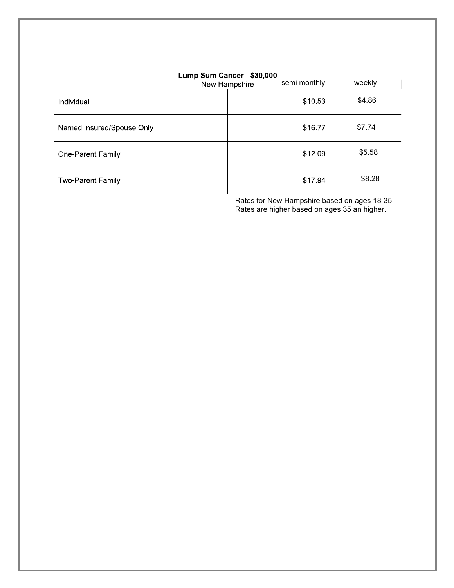| Lump Sum Cancer - \$30,000 |               |              |        |
|----------------------------|---------------|--------------|--------|
|                            | New Hampshire | semi monthly | weekly |
| Individual                 |               | \$10.53      | \$4.86 |
| Named Insured/Spouse Only  |               | \$16.77      | \$7.74 |
| One-Parent Family          |               | \$12.09      | \$5.58 |
| <b>Two-Parent Family</b>   |               | \$17.94      | \$8.28 |

Rates for New Hampshire based on ages 18-35 Rates are higher based on ages 35 an higher.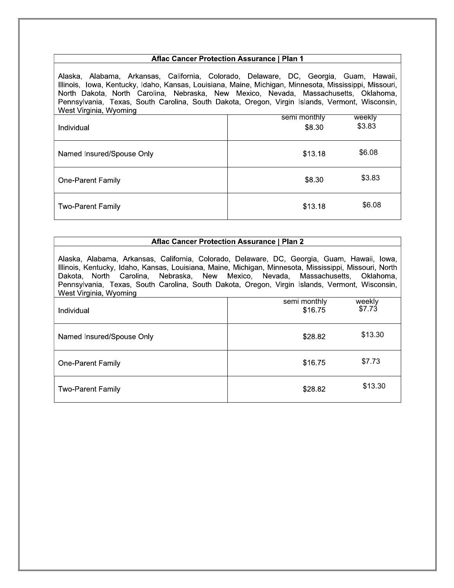## **Aflac Cancer Protection Assurance | Plan 1**

Alaska, Alabama, Arkansas, California, Colorado, Delaware, DC, Georgia, Guam, Hawaii, Illinois, Iowa, Kentucky, Idaho, Kansas, Louisiana, Maine, Michigan, Minnesota, Mississippi, Missouri, North Dakota, North Carolina, Nebraska, New Mexico, Nevada, Massachusetts, Oklahoma, Pennsylvania, Texas, South Carolina, South Dakota, Oregon, Virgin Islands, Vermont, Wisconsin, West Virginia, Wyoming

| Individual                | semi monthly<br>\$8.30 | weekly<br>\$3.83 |
|---------------------------|------------------------|------------------|
| Named Insured/Spouse Only | \$13.18                | \$6.08           |
| <b>One-Parent Family</b>  | \$8.30                 | \$3.83           |
| <b>Two-Parent Family</b>  | \$13.18                | \$6.08           |

## Aflac Cancer Protection Assurance | Plan 2

Alaska, Alabama, Arkansas, California, Colorado, Delaware, DC, Georgia, Guam, Hawaii, Iowa, Illinois, Kentucky, Idaho, Kansas, Louisiana, Maine, Michigan, Minnesota, Mississippi, Missouri, North Dakota, North Carolina, Nebraska, New Mexico, Nevada, Massachusetts, Oklahoma, Pennsylvania, Texas, South Carolina, South Dakota, Oregon, Virgin Islands, Vermont, Wisconsin, West Virginia, Wyoming

| Individual                | semi monthly<br>\$16.75 | weekly<br>\$7.73 |
|---------------------------|-------------------------|------------------|
| Named Insured/Spouse Only | \$28.82                 | \$13.30          |
| One-Parent Family         | \$16.75                 | \$7.73           |
| <b>Two-Parent Family</b>  | \$28.82                 | \$13.30          |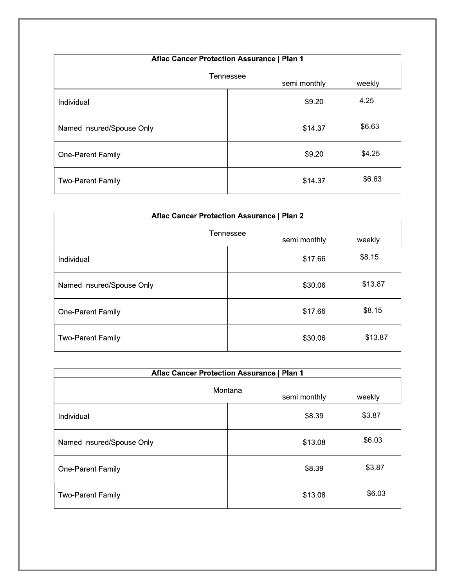| <b>Aflac Cancer Protection Assurance   Plan 1</b> |         |        |  |
|---------------------------------------------------|---------|--------|--|
| Tennessee<br>semi monthly<br>weekly               |         |        |  |
| Individual                                        | \$9.20  | 4.25   |  |
| Named Insured/Spouse Only                         | \$14.37 | \$6.63 |  |
| One-Parent Family                                 | \$9.20  | \$4.25 |  |
| <b>Two-Parent Family</b>                          | \$14.37 | \$6.63 |  |

| <b>Aflac Cancer Protection Assurance   Plan 2</b> |                           |         |
|---------------------------------------------------|---------------------------|---------|
|                                                   | Tennessee<br>semi monthly | weekly  |
| Individual                                        | \$17.66                   | \$8.15  |
| Named Insured/Spouse Only                         | \$30.06                   | \$13.87 |
| One-Parent Family                                 | \$17.66                   | \$8.15  |
| <b>Two-Parent Family</b>                          | \$30.06                   | \$13.87 |

| <b>Aflac Cancer Protection Assurance   Plan 1</b> |                         |        |
|---------------------------------------------------|-------------------------|--------|
|                                                   | Montana<br>semi monthly | weekly |
| Individual                                        | \$8.39                  | \$3.87 |
| Named Insured/Spouse Only                         | \$13.08                 | \$6.03 |
| One-Parent Family                                 | \$8.39                  | \$3.87 |
| <b>Two-Parent Family</b>                          | \$13.08                 | \$6.03 |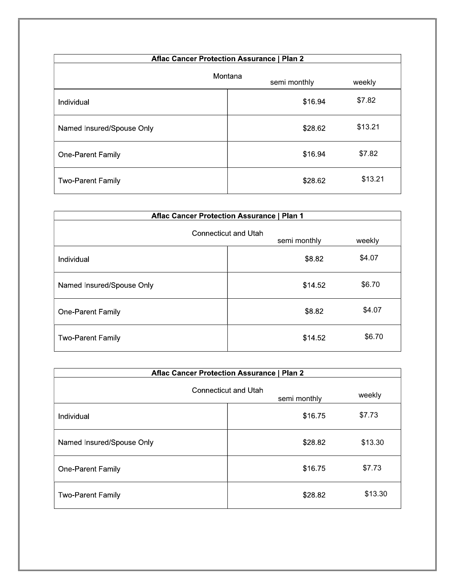| <b>Aflac Cancer Protection Assurance   Plan 2</b> |         |              |         |
|---------------------------------------------------|---------|--------------|---------|
|                                                   | Montana | semi monthly | weekly  |
| Individual                                        |         | \$16.94      | \$7.82  |
| Named Insured/Spouse Only                         |         | \$28.62      | \$13.21 |
| One-Parent Family                                 |         | \$16.94      | \$7.82  |
| <b>Two-Parent Family</b>                          |         | \$28.62      | \$13.21 |

| <b>Aflac Cancer Protection Assurance   Plan 1</b> |                                      |        |  |
|---------------------------------------------------|--------------------------------------|--------|--|
|                                                   | Connecticut and Utah<br>semi monthly | weekly |  |
| Individual                                        | \$8.82                               | \$4.07 |  |
| Named Insured/Spouse Only                         | \$14 52                              | \$6.70 |  |
| One-Parent Family                                 | \$8.82                               | \$4.07 |  |
| <b>Two-Parent Family</b>                          | \$14.52                              | \$6.70 |  |

| <b>Aflac Cancer Protection Assurance   Plan 2</b> |                                      |         |  |
|---------------------------------------------------|--------------------------------------|---------|--|
|                                                   | Connecticut and Utah<br>semi monthly | weekly  |  |
| Individual                                        | \$16.75                              | \$7.73  |  |
| Named Insured/Spouse Only                         | \$28.82                              | \$13.30 |  |
| One-Parent Family                                 | \$1675                               | \$7.73  |  |
| <b>Two-Parent Family</b>                          | \$28.82                              | \$13.30 |  |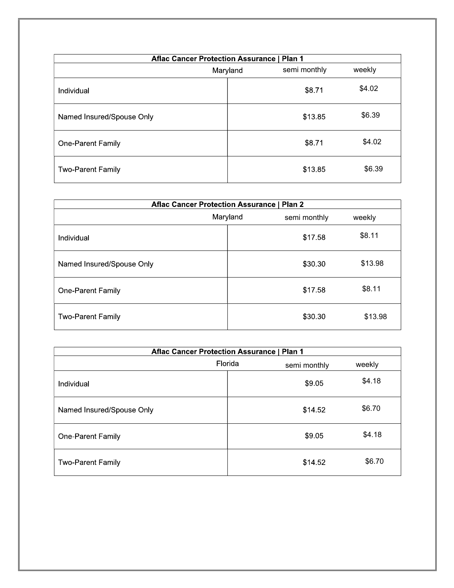| <b>Aflac Cancer Protection Assurance   Plan 1</b> |          |              |        |
|---------------------------------------------------|----------|--------------|--------|
|                                                   | Maryland | semi monthly | weekly |
| Individual                                        |          | \$8.71       | \$4.02 |
| Named Insured/Spouse Only                         |          | \$13.85      | \$6.39 |
| One-Parent Family                                 |          | \$8.71       | \$4.02 |
| <b>Two-Parent Family</b>                          |          | \$13.85      | \$6.39 |

| <b>Aflac Cancer Protection Assurance   Plan 2</b> |          |              |         |
|---------------------------------------------------|----------|--------------|---------|
|                                                   | Maryland | semi monthly | weekly  |
| Individual                                        |          | \$17.58      | \$8.11  |
| Named Insured/Spouse Only                         |          | \$30.30      | \$13.98 |
| One-Parent Family                                 |          | \$17.58      | \$8.11  |
| <b>Two-Parent Family</b>                          |          | \$30.30      | \$13.98 |

| <b>Aflac Cancer Protection Assurance   Plan 1</b> |         |              |        |
|---------------------------------------------------|---------|--------------|--------|
|                                                   | Florida | semi monthly | weekly |
| Individual                                        |         | \$9.05       | \$4.18 |
| Named Insured/Spouse Only                         |         | \$14 52      | \$6.70 |
| One-Parent Family                                 |         | \$9.05       | \$4.18 |
| <b>Two-Parent Family</b>                          |         | \$14.52      | \$6.70 |